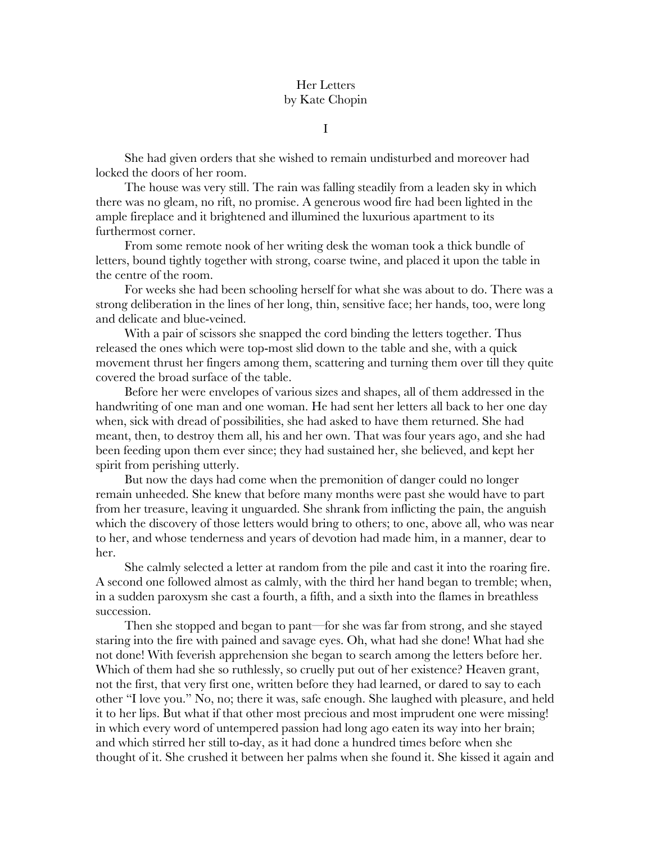## Her Letters by Kate Chopin

I

She had given orders that she wished to remain undisturbed and moreover had locked the doors of her room.

The house was very still. The rain was falling steadily from a leaden sky in which there was no gleam, no rift, no promise. A generous wood fire had been lighted in the ample fireplace and it brightened and illumined the luxurious apartment to its furthermost corner.

From some remote nook of her writing desk the woman took a thick bundle of letters, bound tightly together with strong, coarse twine, and placed it upon the table in the centre of the room.

For weeks she had been schooling herself for what she was about to do. There was a strong deliberation in the lines of her long, thin, sensitive face; her hands, too, were long and delicate and blue-veined.

With a pair of scissors she snapped the cord binding the letters together. Thus released the ones which were top-most slid down to the table and she, with a quick movement thrust her fingers among them, scattering and turning them over till they quite covered the broad surface of the table.

Before her were envelopes of various sizes and shapes, all of them addressed in the handwriting of one man and one woman. He had sent her letters all back to her one day when, sick with dread of possibilities, she had asked to have them returned. She had meant, then, to destroy them all, his and her own. That was four years ago, and she had been feeding upon them ever since; they had sustained her, she believed, and kept her spirit from perishing utterly.

But now the days had come when the premonition of danger could no longer remain unheeded. She knew that before many months were past she would have to part from her treasure, leaving it unguarded. She shrank from inflicting the pain, the anguish which the discovery of those letters would bring to others; to one, above all, who was near to her, and whose tenderness and years of devotion had made him, in a manner, dear to her.

She calmly selected a letter at random from the pile and cast it into the roaring fire. A second one followed almost as calmly, with the third her hand began to tremble; when, in a sudden paroxysm she cast a fourth, a fifth, and a sixth into the flames in breathless succession.

Then she stopped and began to pant—for she was far from strong, and she stayed staring into the fire with pained and savage eyes. Oh, what had she done! What had she not done! With feverish apprehension she began to search among the letters before her. Which of them had she so ruthlessly, so cruelly put out of her existence? Heaven grant, not the first, that very first one, written before they had learned, or dared to say to each other "I love you." No, no; there it was, safe enough. She laughed with pleasure, and held it to her lips. But what if that other most precious and most imprudent one were missing! in which every word of untempered passion had long ago eaten its way into her brain; and which stirred her still to-day, as it had done a hundred times before when she thought of it. She crushed it between her palms when she found it. She kissed it again and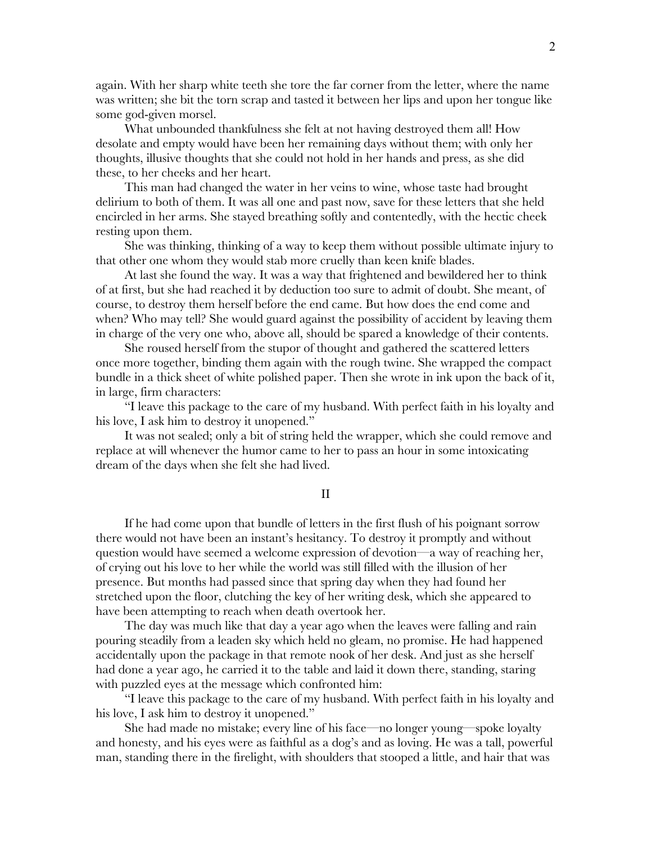again. With her sharp white teeth she tore the far corner from the letter, where the name was written; she bit the torn scrap and tasted it between her lips and upon her tongue like some god-given morsel.

What unbounded thankfulness she felt at not having destroyed them all! How desolate and empty would have been her remaining days without them; with only her thoughts, illusive thoughts that she could not hold in her hands and press, as she did these, to her cheeks and her heart.

This man had changed the water in her veins to wine, whose taste had brought delirium to both of them. It was all one and past now, save for these letters that she held encircled in her arms. She stayed breathing softly and contentedly, with the hectic cheek resting upon them.

She was thinking, thinking of a way to keep them without possible ultimate injury to that other one whom they would stab more cruelly than keen knife blades.

At last she found the way. It was a way that frightened and bewildered her to think of at first, but she had reached it by deduction too sure to admit of doubt. She meant, of course, to destroy them herself before the end came. But how does the end come and when? Who may tell? She would guard against the possibility of accident by leaving them in charge of the very one who, above all, should be spared a knowledge of their contents.

She roused herself from the stupor of thought and gathered the scattered letters once more together, binding them again with the rough twine. She wrapped the compact bundle in a thick sheet of white polished paper. Then she wrote in ink upon the back of it, in large, firm characters:

"I leave this package to the care of my husband. With perfect faith in his loyalty and his love, I ask him to destroy it unopened."

It was not sealed; only a bit of string held the wrapper, which she could remove and replace at will whenever the humor came to her to pass an hour in some intoxicating dream of the days when she felt she had lived.

## II

If he had come upon that bundle of letters in the first flush of his poignant sorrow there would not have been an instant's hesitancy. To destroy it promptly and without question would have seemed a welcome expression of devotion—a way of reaching her, of crying out his love to her while the world was still filled with the illusion of her presence. But months had passed since that spring day when they had found her stretched upon the floor, clutching the key of her writing desk, which she appeared to have been attempting to reach when death overtook her.

The day was much like that day a year ago when the leaves were falling and rain pouring steadily from a leaden sky which held no gleam, no promise. He had happened accidentally upon the package in that remote nook of her desk. And just as she herself had done a year ago, he carried it to the table and laid it down there, standing, staring with puzzled eyes at the message which confronted him:

"I leave this package to the care of my husband. With perfect faith in his loyalty and his love, I ask him to destroy it unopened."

She had made no mistake; every line of his face—no longer young—spoke loyalty and honesty, and his eyes were as faithful as a dog's and as loving. He was a tall, powerful man, standing there in the firelight, with shoulders that stooped a little, and hair that was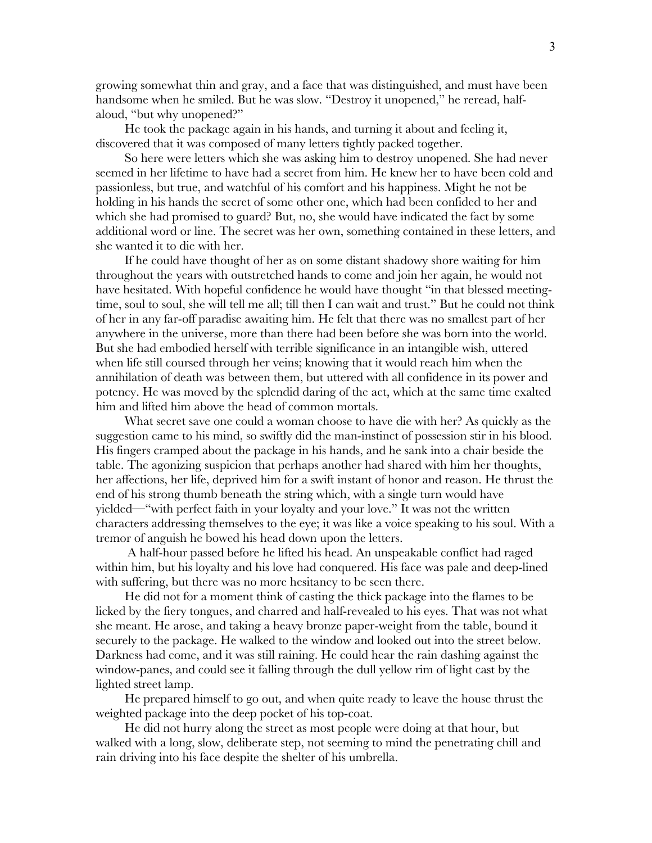growing somewhat thin and gray, and a face that was distinguished, and must have been handsome when he smiled. But he was slow. "Destroy it unopened," he reread, halfaloud, "but why unopened?"

He took the package again in his hands, and turning it about and feeling it, discovered that it was composed of many letters tightly packed together.

So here were letters which she was asking him to destroy unopened. She had never seemed in her lifetime to have had a secret from him. He knew her to have been cold and passionless, but true, and watchful of his comfort and his happiness. Might he not be holding in his hands the secret of some other one, which had been confided to her and which she had promised to guard? But, no, she would have indicated the fact by some additional word or line. The secret was her own, something contained in these letters, and she wanted it to die with her.

If he could have thought of her as on some distant shadowy shore waiting for him throughout the years with outstretched hands to come and join her again, he would not have hesitated. With hopeful confidence he would have thought "in that blessed meetingtime, soul to soul, she will tell me all; till then I can wait and trust." But he could not think of her in any far-off paradise awaiting him. He felt that there was no smallest part of her anywhere in the universe, more than there had been before she was born into the world. But she had embodied herself with terrible significance in an intangible wish, uttered when life still coursed through her veins; knowing that it would reach him when the annihilation of death was between them, but uttered with all confidence in its power and potency. He was moved by the splendid daring of the act, which at the same time exalted him and lifted him above the head of common mortals.

What secret save one could a woman choose to have die with her? As quickly as the suggestion came to his mind, so swiftly did the man-instinct of possession stir in his blood. His fingers cramped about the package in his hands, and he sank into a chair beside the table. The agonizing suspicion that perhaps another had shared with him her thoughts, her affections, her life, deprived him for a swift instant of honor and reason. He thrust the end of his strong thumb beneath the string which, with a single turn would have yielded—"with perfect faith in your loyalty and your love." It was not the written characters addressing themselves to the eye; it was like a voice speaking to his soul. With a tremor of anguish he bowed his head down upon the letters.

A half-hour passed before he lifted his head. An unspeakable conflict had raged within him, but his loyalty and his love had conquered. His face was pale and deep-lined with suffering, but there was no more hesitancy to be seen there.

He did not for a moment think of casting the thick package into the flames to be licked by the fiery tongues, and charred and half-revealed to his eyes. That was not what she meant. He arose, and taking a heavy bronze paper-weight from the table, bound it securely to the package. He walked to the window and looked out into the street below. Darkness had come, and it was still raining. He could hear the rain dashing against the window-panes, and could see it falling through the dull yellow rim of light cast by the lighted street lamp.

He prepared himself to go out, and when quite ready to leave the house thrust the weighted package into the deep pocket of his top-coat.

He did not hurry along the street as most people were doing at that hour, but walked with a long, slow, deliberate step, not seeming to mind the penetrating chill and rain driving into his face despite the shelter of his umbrella.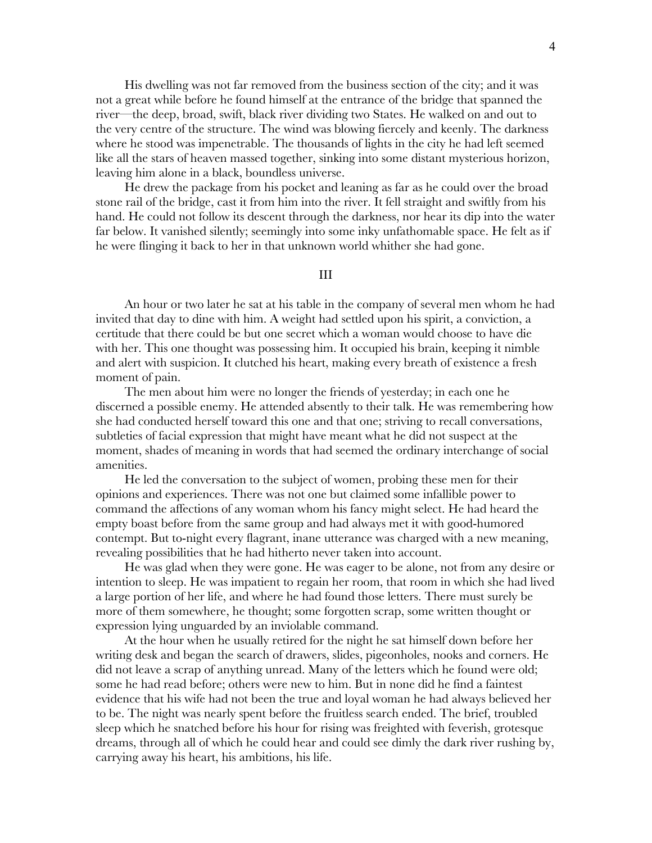4

His dwelling was not far removed from the business section of the city; and it was not a great while before he found himself at the entrance of the bridge that spanned the river—the deep, broad, swift, black river dividing two States. He walked on and out to the very centre of the structure. The wind was blowing fiercely and keenly. The darkness where he stood was impenetrable. The thousands of lights in the city he had left seemed like all the stars of heaven massed together, sinking into some distant mysterious horizon, leaving him alone in a black, boundless universe.

He drew the package from his pocket and leaning as far as he could over the broad stone rail of the bridge, cast it from him into the river. It fell straight and swiftly from his hand. He could not follow its descent through the darkness, nor hear its dip into the water far below. It vanished silently; seemingly into some inky unfathomable space. He felt as if he were flinging it back to her in that unknown world whither she had gone.

## III

An hour or two later he sat at his table in the company of several men whom he had invited that day to dine with him. A weight had settled upon his spirit, a conviction, a certitude that there could be but one secret which a woman would choose to have die with her. This one thought was possessing him. It occupied his brain, keeping it nimble and alert with suspicion. It clutched his heart, making every breath of existence a fresh moment of pain.

The men about him were no longer the friends of yesterday; in each one he discerned a possible enemy. He attended absently to their talk. He was remembering how she had conducted herself toward this one and that one; striving to recall conversations, subtleties of facial expression that might have meant what he did not suspect at the moment, shades of meaning in words that had seemed the ordinary interchange of social amenities.

He led the conversation to the subject of women, probing these men for their opinions and experiences. There was not one but claimed some infallible power to command the affections of any woman whom his fancy might select. He had heard the empty boast before from the same group and had always met it with good-humored contempt. But to-night every flagrant, inane utterance was charged with a new meaning, revealing possibilities that he had hitherto never taken into account.

He was glad when they were gone. He was eager to be alone, not from any desire or intention to sleep. He was impatient to regain her room, that room in which she had lived a large portion of her life, and where he had found those letters. There must surely be more of them somewhere, he thought; some forgotten scrap, some written thought or expression lying unguarded by an inviolable command.

At the hour when he usually retired for the night he sat himself down before her writing desk and began the search of drawers, slides, pigeonholes, nooks and corners. He did not leave a scrap of anything unread. Many of the letters which he found were old; some he had read before; others were new to him. But in none did he find a faintest evidence that his wife had not been the true and loyal woman he had always believed her to be. The night was nearly spent before the fruitless search ended. The brief, troubled sleep which he snatched before his hour for rising was freighted with feverish, grotesque dreams, through all of which he could hear and could see dimly the dark river rushing by, carrying away his heart, his ambitions, his life.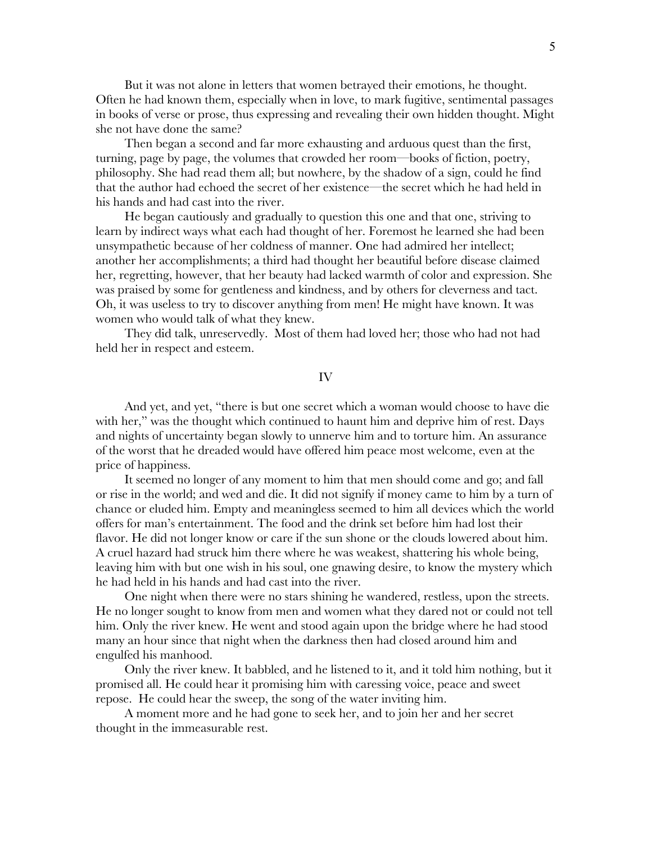But it was not alone in letters that women betrayed their emotions, he thought. Often he had known them, especially when in love, to mark fugitive, sentimental passages in books of verse or prose, thus expressing and revealing their own hidden thought. Might she not have done the same?

Then began a second and far more exhausting and arduous quest than the first, turning, page by page, the volumes that crowded her room—books of fiction, poetry, philosophy. She had read them all; but nowhere, by the shadow of a sign, could he find that the author had echoed the secret of her existence—the secret which he had held in his hands and had cast into the river.

He began cautiously and gradually to question this one and that one, striving to learn by indirect ways what each had thought of her. Foremost he learned she had been unsympathetic because of her coldness of manner. One had admired her intellect; another her accomplishments; a third had thought her beautiful before disease claimed her, regretting, however, that her beauty had lacked warmth of color and expression. She was praised by some for gentleness and kindness, and by others for cleverness and tact. Oh, it was useless to try to discover anything from men! He might have known. It was women who would talk of what they knew.

They did talk, unreservedly. Most of them had loved her; those who had not had held her in respect and esteem.

## IV

And yet, and yet, "there is but one secret which a woman would choose to have die with her," was the thought which continued to haunt him and deprive him of rest. Days and nights of uncertainty began slowly to unnerve him and to torture him. An assurance of the worst that he dreaded would have offered him peace most welcome, even at the price of happiness.

It seemed no longer of any moment to him that men should come and go; and fall or rise in the world; and wed and die. It did not signify if money came to him by a turn of chance or eluded him. Empty and meaningless seemed to him all devices which the world offers for man's entertainment. The food and the drink set before him had lost their flavor. He did not longer know or care if the sun shone or the clouds lowered about him. A cruel hazard had struck him there where he was weakest, shattering his whole being, leaving him with but one wish in his soul, one gnawing desire, to know the mystery which he had held in his hands and had cast into the river.

One night when there were no stars shining he wandered, restless, upon the streets. He no longer sought to know from men and women what they dared not or could not tell him. Only the river knew. He went and stood again upon the bridge where he had stood many an hour since that night when the darkness then had closed around him and engulfed his manhood.

Only the river knew. It babbled, and he listened to it, and it told him nothing, but it promised all. He could hear it promising him with caressing voice, peace and sweet repose. He could hear the sweep, the song of the water inviting him.

A moment more and he had gone to seek her, and to join her and her secret thought in the immeasurable rest.